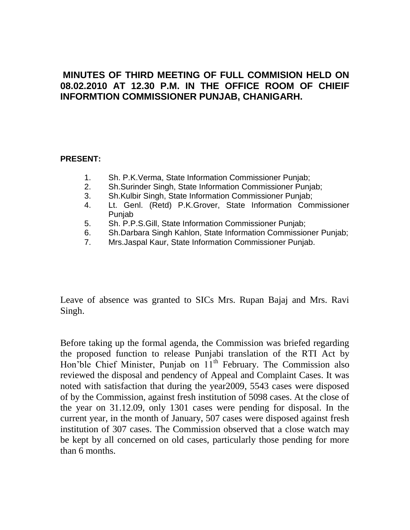## **MINUTES OF THIRD MEETING OF FULL COMMISION HELD ON 08.02.2010 AT 12.30 P.M. IN THE OFFICE ROOM OF CHIEIF INFORMTION COMMISSIONER PUNJAB, CHANIGARH.**

### **PRESENT:**

- 1. Sh. P.K.Verma, State Information Commissioner Punjab;
- 2. Sh.Surinder Singh, State Information Commissioner Punjab;
- 3. Sh.Kulbir Singh, State Information Commissioner Punjab;
- 4. Lt. Genl. (Retd) P.K.Grover, State Information Commissioner Punjab
- 5. Sh. P.P.S.Gill, State Information Commissioner Punjab;
- 6. Sh.Darbara Singh Kahlon, State Information Commissioner Punjab;
- 7. Mrs.Jaspal Kaur, State Information Commissioner Punjab.

Leave of absence was granted to SICs Mrs. Rupan Bajaj and Mrs. Ravi Singh.

Before taking up the formal agenda, the Commission was briefed regarding the proposed function to release Punjabi translation of the RTI Act by Hon'ble Chief Minister, Punjab on  $11<sup>th</sup>$  February. The Commission also reviewed the disposal and pendency of Appeal and Complaint Cases. It was noted with satisfaction that during the year2009, 5543 cases were disposed of by the Commission, against fresh institution of 5098 cases. At the close of the year on 31.12.09, only 1301 cases were pending for disposal. In the current year, in the month of January, 507 cases were disposed against fresh institution of 307 cases. The Commission observed that a close watch may be kept by all concerned on old cases, particularly those pending for more than 6 months.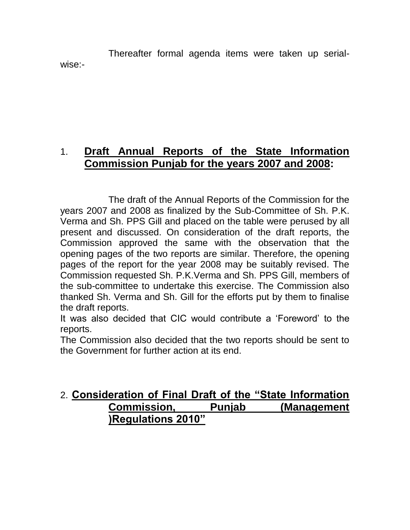Thereafter formal agenda items were taken up serialwise:-

# 1. **Draft Annual Reports of the State Information Commission Punjab for the years 2007 and 2008:**

The draft of the Annual Reports of the Commission for the years 2007 and 2008 as finalized by the Sub-Committee of Sh. P.K. Verma and Sh. PPS Gill and placed on the table were perused by all present and discussed. On consideration of the draft reports, the Commission approved the same with the observation that the opening pages of the two reports are similar. Therefore, the opening pages of the report for the year 2008 may be suitably revised. The Commission requested Sh. P.K.Verma and Sh. PPS Gill, members of the sub-committee to undertake this exercise. The Commission also thanked Sh. Verma and Sh. Gill for the efforts put by them to finalise the draft reports.

It was also decided that CIC would contribute a "Foreword" to the reports.

The Commission also decided that the two reports should be sent to the Government for further action at its end.

# 2. **Consideration of Final Draft of the "State Information Commission, Punjab (Management )Regulations 2010"**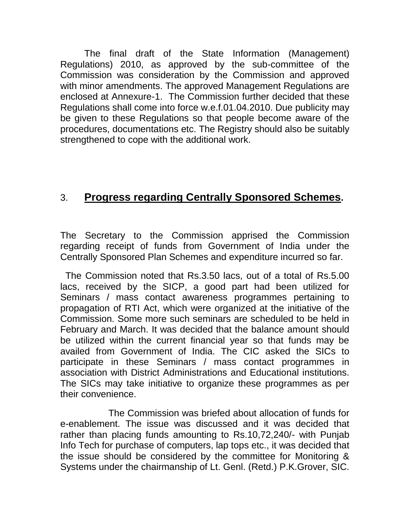The final draft of the State Information (Management) Regulations) 2010, as approved by the sub-committee of the Commission was consideration by the Commission and approved with minor amendments. The approved Management Regulations are enclosed at Annexure-1. The Commission further decided that these Regulations shall come into force w.e.f.01.04.2010. Due publicity may be given to these Regulations so that people become aware of the procedures, documentations etc. The Registry should also be suitably strengthened to cope with the additional work.

# 3. **Progress regarding Centrally Sponsored Schemes.**

The Secretary to the Commission apprised the Commission regarding receipt of funds from Government of India under the Centrally Sponsored Plan Schemes and expenditure incurred so far.

 The Commission noted that Rs.3.50 lacs, out of a total of Rs.5.00 lacs, received by the SICP, a good part had been utilized for Seminars / mass contact awareness programmes pertaining to propagation of RTI Act, which were organized at the initiative of the Commission. Some more such seminars are scheduled to be held in February and March. It was decided that the balance amount should be utilized within the current financial year so that funds may be availed from Government of India. The CIC asked the SICs to participate in these Seminars / mass contact programmes in association with District Administrations and Educational institutions. The SICs may take initiative to organize these programmes as per their convenience.

The Commission was briefed about allocation of funds for e-enablement. The issue was discussed and it was decided that rather than placing funds amounting to Rs.10,72,240/- with Punjab Info Tech for purchase of computers, lap tops etc., it was decided that the issue should be considered by the committee for Monitoring & Systems under the chairmanship of Lt. Genl. (Retd.) P.K.Grover, SIC.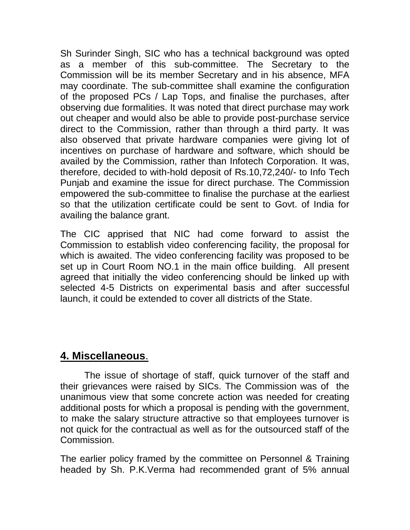Sh Surinder Singh, SIC who has a technical background was opted as a member of this sub-committee. The Secretary to the Commission will be its member Secretary and in his absence, MFA may coordinate. The sub-committee shall examine the configuration of the proposed PCs / Lap Tops, and finalise the purchases, after observing due formalities. It was noted that direct purchase may work out cheaper and would also be able to provide post-purchase service direct to the Commission, rather than through a third party. It was also observed that private hardware companies were giving lot of incentives on purchase of hardware and software, which should be availed by the Commission, rather than Infotech Corporation. It was, therefore, decided to with-hold deposit of Rs.10,72,240/- to Info Tech Punjab and examine the issue for direct purchase. The Commission empowered the sub-committee to finalise the purchase at the earliest so that the utilization certificate could be sent to Govt. of India for availing the balance grant.

The CIC apprised that NIC had come forward to assist the Commission to establish video conferencing facility, the proposal for which is awaited. The video conferencing facility was proposed to be set up in Court Room NO.1 in the main office building. All present agreed that initially the video conferencing should be linked up with selected 4-5 Districts on experimental basis and after successful launch, it could be extended to cover all districts of the State.

# **4. Miscellaneous**.

The issue of shortage of staff, quick turnover of the staff and their grievances were raised by SICs. The Commission was of the unanimous view that some concrete action was needed for creating additional posts for which a proposal is pending with the government, to make the salary structure attractive so that employees turnover is not quick for the contractual as well as for the outsourced staff of the Commission.

The earlier policy framed by the committee on Personnel & Training headed by Sh. P.K.Verma had recommended grant of 5% annual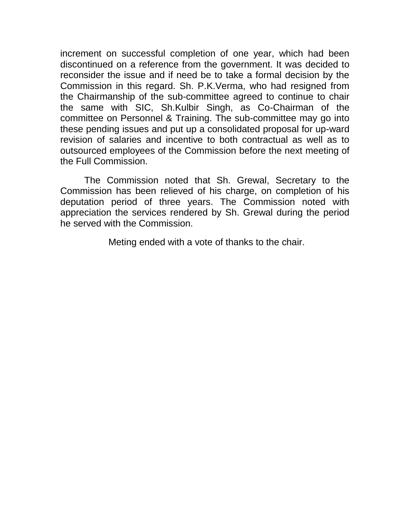increment on successful completion of one year, which had been discontinued on a reference from the government. It was decided to reconsider the issue and if need be to take a formal decision by the Commission in this regard. Sh. P.K.Verma, who had resigned from the Chairmanship of the sub-committee agreed to continue to chair the same with SIC, Sh.Kulbir Singh, as Co-Chairman of the committee on Personnel & Training. The sub-committee may go into these pending issues and put up a consolidated proposal for up-ward revision of salaries and incentive to both contractual as well as to outsourced employees of the Commission before the next meeting of the Full Commission.

The Commission noted that Sh. Grewal, Secretary to the Commission has been relieved of his charge, on completion of his deputation period of three years. The Commission noted with appreciation the services rendered by Sh. Grewal during the period he served with the Commission.

Meting ended with a vote of thanks to the chair.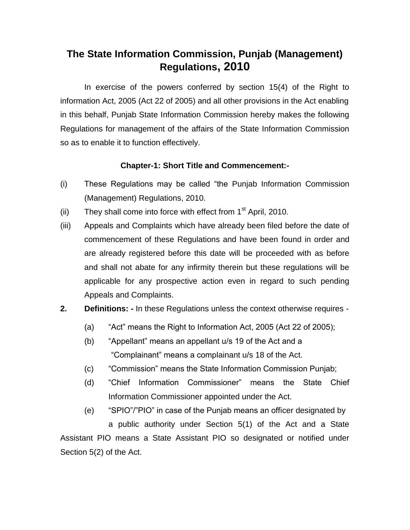# **The State Information Commission, Punjab (Management) Regulations, 2010**

In exercise of the powers conferred by section 15(4) of the Right to information Act, 2005 (Act 22 of 2005) and all other provisions in the Act enabling in this behalf, Punjab State Information Commission hereby makes the following Regulations for management of the affairs of the State Information Commission so as to enable it to function effectively.

## **Chapter-1: Short Title and Commencement:-**

- (i) These Regulations may be called "the Punjab Information Commission (Management) Regulations, 2010.
- (ii) They shall come into force with effect from  $1<sup>st</sup>$  April, 2010.
- (iii) Appeals and Complaints which have already been filed before the date of commencement of these Regulations and have been found in order and are already registered before this date will be proceeded with as before and shall not abate for any infirmity therein but these regulations will be applicable for any prospective action even in regard to such pending Appeals and Complaints.
- **2. Definitions: -** In these Regulations unless the context otherwise requires
	- (a) "Act" means the Right to Information Act, 2005 (Act 22 of 2005);
	- (b) "Appellant" means an appellant u/s 19 of the Act and a "Complainant" means a complainant u/s 18 of the Act.
	- (c) "Commission" means the State Information Commission Punjab;
	- (d) "Chief Information Commissioner" means the State Chief Information Commissioner appointed under the Act.
- (e) "SPIO"/"PIO" in case of the Punjab means an officer designated by a public authority under Section 5(1) of the Act and a State Assistant PIO means a State Assistant PIO so designated or notified under Section 5(2) of the Act.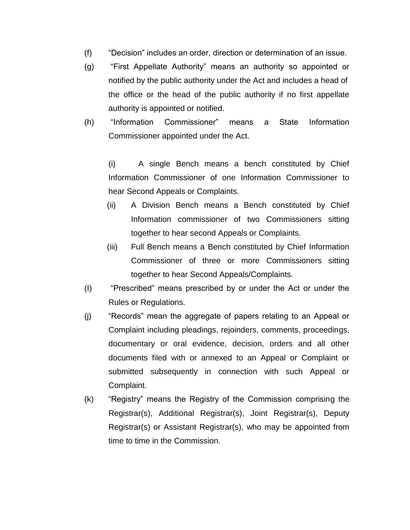- (f) "Decision" includes an order, direction or determination of an issue.
- (g) "First Appellate Authority" means an authority so appointed or notified by the public authority under the Act and includes a head of the office or the head of the public authority if no first appellate authority is appointed or notified.
- (h) "Information Commissioner" means a State Information Commissioner appointed under the Act.

(i) A single Bench means a bench constituted by Chief Information Commissioner of one Information Commissioner to hear Second Appeals or Complaints.

- (ii) A Division Bench means a Bench constituted by Chief Information commissioner of two Commissioners sitting together to hear second Appeals or Complaints.
- (iii) Full Bench means a Bench constituted by Chief Information Commissioner of three or more Commissioners sitting together to hear Second Appeals/Complaints.
- (I) "Prescribed" means prescribed by or under the Act or under the Rules or Regulations.
- (j) "Records" mean the aggregate of papers relating to an Appeal or Complaint including pleadings, rejoinders, comments, proceedings, documentary or oral evidence, decision, orders and all other documents filed with or annexed to an Appeal or Complaint or submitted subsequently in connection with such Appeal or Complaint.
- (k) "Registry" means the Registry of the Commission comprising the Registrar(s), Additional Registrar(s), Joint Registrar(s), Deputy Registrar(s) or Assistant Registrar(s), who may be appointed from time to time in the Commission.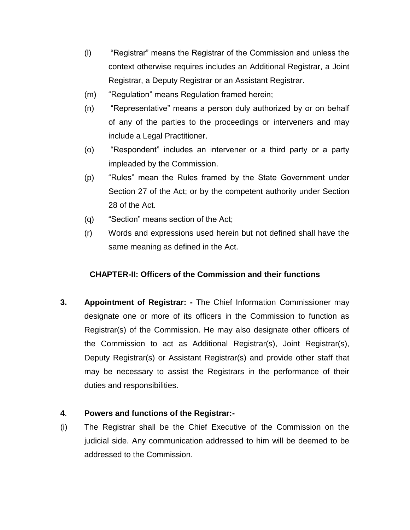- (l) "Registrar" means the Registrar of the Commission and unless the context otherwise requires includes an Additional Registrar, a Joint Registrar, a Deputy Registrar or an Assistant Registrar.
- (m) "Regulation" means Regulation framed herein;
- (n) "Representative" means a person duly authorized by or on behalf of any of the parties to the proceedings or interveners and may include a Legal Practitioner.
- (o) "Respondent" includes an intervener or a third party or a party impleaded by the Commission.
- (p) "Rules" mean the Rules framed by the State Government under Section 27 of the Act; or by the competent authority under Section 28 of the Act.
- (q) "Section" means section of the Act;
- (r) Words and expressions used herein but not defined shall have the same meaning as defined in the Act.

## **CHAPTER-II: Officers of the Commission and their functions**

**3. Appointment of Registrar: -** The Chief Information Commissioner may designate one or more of its officers in the Commission to function as Registrar(s) of the Commission. He may also designate other officers of the Commission to act as Additional Registrar(s), Joint Registrar(s), Deputy Registrar(s) or Assistant Registrar(s) and provide other staff that may be necessary to assist the Registrars in the performance of their duties and responsibilities.

## **4**. **Powers and functions of the Registrar:-**

(i) The Registrar shall be the Chief Executive of the Commission on the judicial side. Any communication addressed to him will be deemed to be addressed to the Commission.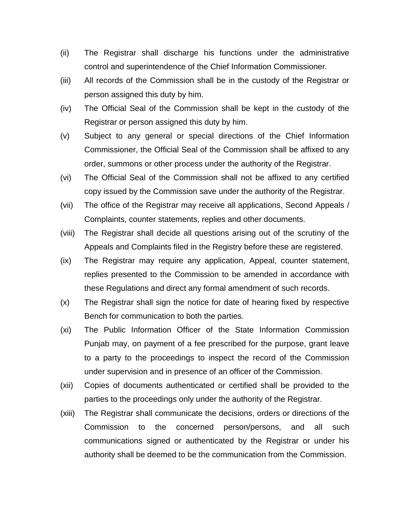- (ii) The Registrar shall discharge his functions under the administrative control and superintendence of the Chief Information Commissioner.
- (iii) All records of the Commission shall be in the custody of the Registrar or person assigned this duty by him.
- (iv) The Official Seal of the Commission shall be kept in the custody of the Registrar or person assigned this duty by him.
- (v) Subject to any general or special directions of the Chief Information Commissioner, the Official Seal of the Commission shall be affixed to any order, summons or other process under the authority of the Registrar.
- (vi) The Official Seal of the Commission shall not be affixed to any certified copy issued by the Commission save under the authority of the Registrar.
- (vii) The office of the Registrar may receive all applications, Second Appeals / Complaints, counter statements, replies and other documents.
- (viii) The Registrar shall decide all questions arising out of the scrutiny of the Appeals and Complaints filed in the Registry before these are registered.
- (ix) The Registrar may require any application, Appeal, counter statement, replies presented to the Commission to be amended in accordance with these Regulations and direct any formal amendment of such records.
- (x) The Registrar shall sign the notice for date of hearing fixed by respective Bench for communication to both the parties.
- (xi) The Public Information Officer of the State Information Commission Punjab may, on payment of a fee prescribed for the purpose, grant leave to a party to the proceedings to inspect the record of the Commission under supervision and in presence of an officer of the Commission.
- (xii) Copies of documents authenticated or certified shall be provided to the parties to the proceedings only under the authority of the Registrar.
- (xiii) The Registrar shall communicate the decisions, orders or directions of the Commission to the concerned person/persons, and all such communications signed or authenticated by the Registrar or under his authority shall be deemed to be the communication from the Commission.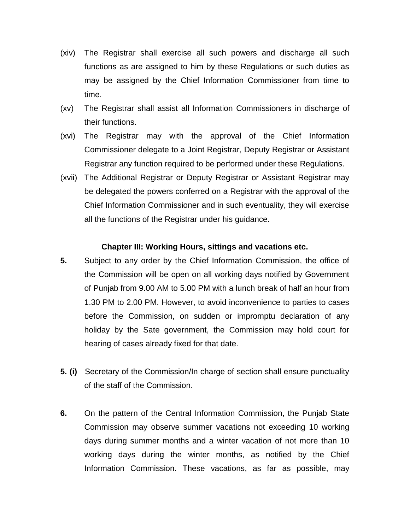- (xiv) The Registrar shall exercise all such powers and discharge all such functions as are assigned to him by these Regulations or such duties as may be assigned by the Chief Information Commissioner from time to time.
- (xv) The Registrar shall assist all Information Commissioners in discharge of their functions.
- (xvi) The Registrar may with the approval of the Chief Information Commissioner delegate to a Joint Registrar, Deputy Registrar or Assistant Registrar any function required to be performed under these Regulations.
- (xvii) The Additional Registrar or Deputy Registrar or Assistant Registrar may be delegated the powers conferred on a Registrar with the approval of the Chief Information Commissioner and in such eventuality, they will exercise all the functions of the Registrar under his guidance.

#### **Chapter III: Working Hours, sittings and vacations etc.**

- **5.** Subject to any order by the Chief Information Commission, the office of the Commission will be open on all working days notified by Government of Punjab from 9.00 AM to 5.00 PM with a lunch break of half an hour from 1.30 PM to 2.00 PM. However, to avoid inconvenience to parties to cases before the Commission, on sudden or impromptu declaration of any holiday by the Sate government, the Commission may hold court for hearing of cases already fixed for that date.
- **5. (i)** Secretary of the Commission/In charge of section shall ensure punctuality of the staff of the Commission.
- **6.** On the pattern of the Central Information Commission, the Punjab State Commission may observe summer vacations not exceeding 10 working days during summer months and a winter vacation of not more than 10 working days during the winter months, as notified by the Chief Information Commission. These vacations, as far as possible, may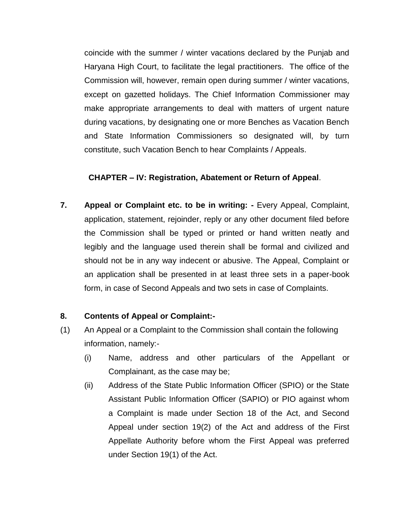coincide with the summer / winter vacations declared by the Punjab and Haryana High Court, to facilitate the legal practitioners. The office of the Commission will, however, remain open during summer / winter vacations, except on gazetted holidays. The Chief Information Commissioner may make appropriate arrangements to deal with matters of urgent nature during vacations, by designating one or more Benches as Vacation Bench and State Information Commissioners so designated will, by turn constitute, such Vacation Bench to hear Complaints / Appeals.

#### **CHAPTER – IV: Registration, Abatement or Return of Appeal**.

**7. Appeal or Complaint etc. to be in writing: -** Every Appeal, Complaint, application, statement, rejoinder, reply or any other document filed before the Commission shall be typed or printed or hand written neatly and legibly and the language used therein shall be formal and civilized and should not be in any way indecent or abusive. The Appeal, Complaint or an application shall be presented in at least three sets in a paper-book form, in case of Second Appeals and two sets in case of Complaints.

## **8. Contents of Appeal or Complaint:-**

- (1) An Appeal or a Complaint to the Commission shall contain the following information, namely:-
	- (i) Name, address and other particulars of the Appellant or Complainant, as the case may be;
	- (ii) Address of the State Public Information Officer (SPIO) or the State Assistant Public Information Officer (SAPIO) or PIO against whom a Complaint is made under Section 18 of the Act, and Second Appeal under section 19(2) of the Act and address of the First Appellate Authority before whom the First Appeal was preferred under Section 19(1) of the Act.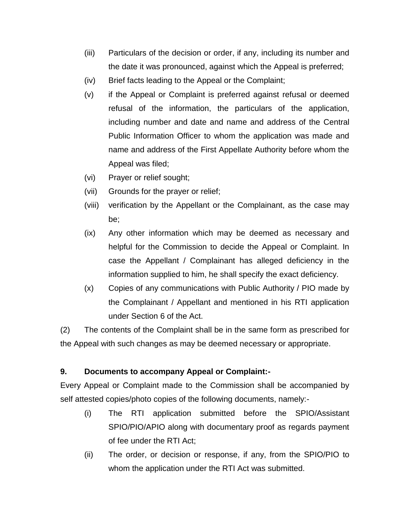- (iii) Particulars of the decision or order, if any, including its number and the date it was pronounced, against which the Appeal is preferred;
- (iv) Brief facts leading to the Appeal or the Complaint;
- (v) if the Appeal or Complaint is preferred against refusal or deemed refusal of the information, the particulars of the application, including number and date and name and address of the Central Public Information Officer to whom the application was made and name and address of the First Appellate Authority before whom the Appeal was filed;
- (vi) Prayer or relief sought;
- (vii) Grounds for the prayer or relief;
- (viii) verification by the Appellant or the Complainant, as the case may be;
- (ix) Any other information which may be deemed as necessary and helpful for the Commission to decide the Appeal or Complaint. In case the Appellant / Complainant has alleged deficiency in the information supplied to him, he shall specify the exact deficiency.
- (x) Copies of any communications with Public Authority / PIO made by the Complainant / Appellant and mentioned in his RTI application under Section 6 of the Act.

(2) The contents of the Complaint shall be in the same form as prescribed for the Appeal with such changes as may be deemed necessary or appropriate.

## **9. Documents to accompany Appeal or Complaint:-**

Every Appeal or Complaint made to the Commission shall be accompanied by self attested copies/photo copies of the following documents, namely:-

- (i) The RTI application submitted before the SPIO/Assistant SPIO/PIO/APIO along with documentary proof as regards payment of fee under the RTI Act;
- (ii) The order, or decision or response, if any, from the SPIO/PIO to whom the application under the RTI Act was submitted.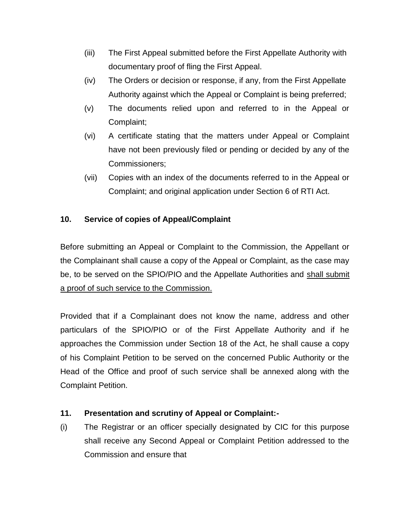- (iii) The First Appeal submitted before the First Appellate Authority with documentary proof of fling the First Appeal.
- (iv) The Orders or decision or response, if any, from the First Appellate Authority against which the Appeal or Complaint is being preferred;
- (v) The documents relied upon and referred to in the Appeal or Complaint;
- (vi) A certificate stating that the matters under Appeal or Complaint have not been previously filed or pending or decided by any of the Commissioners;
- (vii) Copies with an index of the documents referred to in the Appeal or Complaint; and original application under Section 6 of RTI Act.

## **10. Service of copies of Appeal/Complaint**

Before submitting an Appeal or Complaint to the Commission, the Appellant or the Complainant shall cause a copy of the Appeal or Complaint, as the case may be, to be served on the SPIO/PIO and the Appellate Authorities and shall submit a proof of such service to the Commission.

Provided that if a Complainant does not know the name, address and other particulars of the SPIO/PIO or of the First Appellate Authority and if he approaches the Commission under Section 18 of the Act, he shall cause a copy of his Complaint Petition to be served on the concerned Public Authority or the Head of the Office and proof of such service shall be annexed along with the Complaint Petition.

## **11. Presentation and scrutiny of Appeal or Complaint:-**

(i) The Registrar or an officer specially designated by CIC for this purpose shall receive any Second Appeal or Complaint Petition addressed to the Commission and ensure that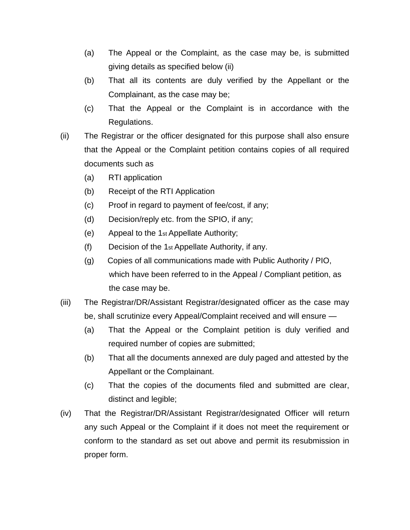- (a) The Appeal or the Complaint, as the case may be, is submitted giving details as specified below (ii)
- (b) That all its contents are duly verified by the Appellant or the Complainant, as the case may be;
- (c) That the Appeal or the Complaint is in accordance with the Regulations.
- (ii) The Registrar or the officer designated for this purpose shall also ensure that the Appeal or the Complaint petition contains copies of all required documents such as
	- (a) RTI application
	- (b) Receipt of the RTI Application
	- (c) Proof in regard to payment of fee/cost, if any;
	- (d) Decision/reply etc. from the SPIO, if any;
	- (e) Appeal to the 1st Appellate Authority;
	- (f) Decision of the 1st Appellate Authority, if any.
	- (g) Copies of all communications made with Public Authority / PIO, which have been referred to in the Appeal / Compliant petition, as the case may be.
- (iii) The Registrar/DR/Assistant Registrar/designated officer as the case may be, shall scrutinize every Appeal/Complaint received and will ensure —
	- (a) That the Appeal or the Complaint petition is duly verified and required number of copies are submitted;
	- (b) That all the documents annexed are duly paged and attested by the Appellant or the Complainant.
	- (c) That the copies of the documents filed and submitted are clear, distinct and legible;
- (iv) That the Registrar/DR/Assistant Registrar/designated Officer will return any such Appeal or the Complaint if it does not meet the requirement or conform to the standard as set out above and permit its resubmission in proper form.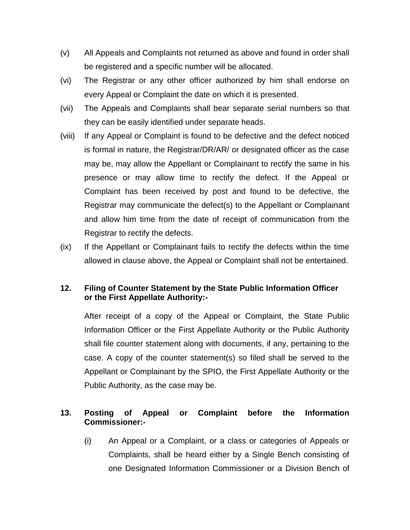- (v) All Appeals and Complaints not returned as above and found in order shall be registered and a specific number will be allocated.
- (vi) The Registrar or any other officer authorized by him shall endorse on every Appeal or Complaint the date on which it is presented.
- (vii) The Appeals and Complaints shall bear separate serial numbers so that they can be easily identified under separate heads.
- (viii) If any Appeal or Complaint is found to be defective and the defect noticed is formal in nature, the Registrar/DR/AR/ or designated officer as the case may be, may allow the Appellant or Complainant to rectify the same in his presence or may allow time to rectify the defect. If the Appeal or Complaint has been received by post and found to be defective, the Registrar may communicate the defect(s) to the Appellant or Complainant and allow him time from the date of receipt of communication from the Registrar to rectify the defects.
- (ix) If the Appellant or Complainant fails to rectify the defects within the time allowed in clause above, the Appeal or Complaint shall not be entertained.

## **12. Filing of Counter Statement by the State Public Information Officer or the First Appellate Authority:-**

After receipt of a copy of the Appeal or Complaint, the State Public Information Officer or the First Appellate Authority or the Public Authority shall file counter statement along with documents, if any, pertaining to the case. A copy of the counter statement(s) so filed shall be served to the Appellant or Complainant by the SPIO, the First Appellate Authority or the Public Authority, as the case may be.

## **13. Posting of Appeal or Complaint before the Information Commissioner:-**

(i) An Appeal or a Complaint, or a class or categories of Appeals or Complaints, shall be heard either by a Single Bench consisting of one Designated Information Commissioner or a Division Bench of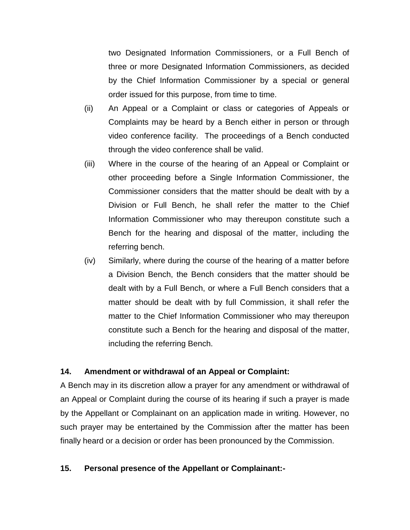two Designated Information Commissioners, or a Full Bench of three or more Designated Information Commissioners, as decided by the Chief Information Commissioner by a special or general order issued for this purpose, from time to time.

- (ii) An Appeal or a Complaint or class or categories of Appeals or Complaints may be heard by a Bench either in person or through video conference facility. The proceedings of a Bench conducted through the video conference shall be valid.
- (iii) Where in the course of the hearing of an Appeal or Complaint or other proceeding before a Single Information Commissioner, the Commissioner considers that the matter should be dealt with by a Division or Full Bench, he shall refer the matter to the Chief Information Commissioner who may thereupon constitute such a Bench for the hearing and disposal of the matter, including the referring bench.
- (iv) Similarly, where during the course of the hearing of a matter before a Division Bench, the Bench considers that the matter should be dealt with by a Full Bench, or where a Full Bench considers that a matter should be dealt with by full Commission, it shall refer the matter to the Chief Information Commissioner who may thereupon constitute such a Bench for the hearing and disposal of the matter, including the referring Bench.

#### **14. Amendment or withdrawal of an Appeal or Complaint:**

A Bench may in its discretion allow a prayer for any amendment or withdrawal of an Appeal or Complaint during the course of its hearing if such a prayer is made by the Appellant or Complainant on an application made in writing. However, no such prayer may be entertained by the Commission after the matter has been finally heard or a decision or order has been pronounced by the Commission.

#### **15. Personal presence of the Appellant or Complainant:-**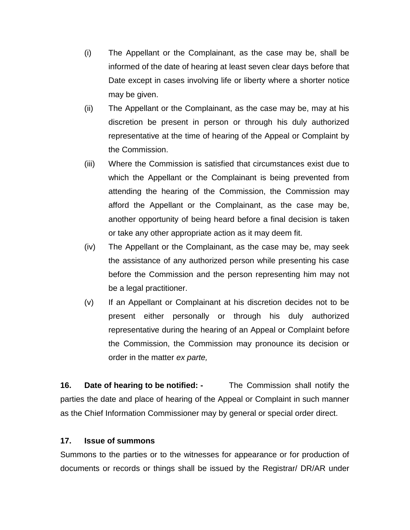- (i) The Appellant or the Complainant, as the case may be, shall be informed of the date of hearing at least seven clear days before that Date except in cases involving life or liberty where a shorter notice may be given.
- (ii) The Appellant or the Complainant, as the case may be, may at his discretion be present in person or through his duly authorized representative at the time of hearing of the Appeal or Complaint by the Commission.
- (iii) Where the Commission is satisfied that circumstances exist due to which the Appellant or the Complainant is being prevented from attending the hearing of the Commission, the Commission may afford the Appellant or the Complainant, as the case may be, another opportunity of being heard before a final decision is taken or take any other appropriate action as it may deem fit.
- (iv) The Appellant or the Complainant, as the case may be, may seek the assistance of any authorized person while presenting his case before the Commission and the person representing him may not be a legal practitioner.
- (v) If an Appellant or Complainant at his discretion decides not to be present either personally or through his duly authorized representative during the hearing of an Appeal or Complaint before the Commission, the Commission may pronounce its decision or order in the matter *ex parte,*

**16. Date of hearing to be notified: -** The Commission shall notify the parties the date and place of hearing of the Appeal or Complaint in such manner as the Chief Information Commissioner may by general or special order direct.

#### **17. Issue of summons**

Summons to the parties or to the witnesses for appearance or for production of documents or records or things shall be issued by the Registrar/ DR/AR under